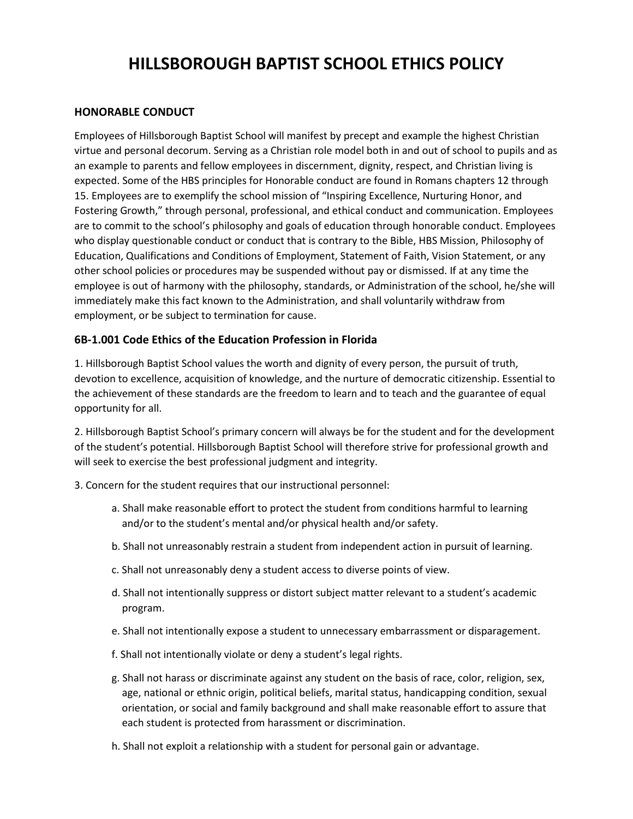# **HILLSBOROUGH BAPTIST SCHOOL ETHICS POLICY**

#### **HONORABLE CONDUCT**

Employees of Hillsborough Baptist School will manifest by precept and example the highest Christian virtue and personal decorum. Serving as a Christian role model both in and out of school to pupils and as an example to parents and fellow employees in discernment, dignity, respect, and Christian living is expected. Some of the HBS principles for Honorable conduct are found in Romans chapters 12 through 15. Employees are to exemplify the school mission of "Inspiring Excellence, Nurturing Honor, and Fostering Growth," through personal, professional, and ethical conduct and communication. Employees are to commit to the school's philosophy and goals of education through honorable conduct. Employees who display questionable conduct or conduct that is contrary to the Bible, HBS Mission, Philosophy of Education, Qualifications and Conditions of Employment, Statement of Faith, Vision Statement, or any other school policies or procedures may be suspended without pay or dismissed. If at any time the employee is out of harmony with the philosophy, standards, or Administration of the school, he/she will immediately make this fact known to the Administration, and shall voluntarily withdraw from employment, or be subject to termination for cause.

#### **6B-1.001 Code Ethics of the Education Profession in Florida**

1. Hillsborough Baptist School values the worth and dignity of every person, the pursuit of truth, devotion to excellence, acquisition of knowledge, and the nurture of democratic citizenship. Essential to the achievement of these standards are the freedom to learn and to teach and the guarantee of equal opportunity for all.

2. Hillsborough Baptist School's primary concern will always be for the student and for the development of the student's potential. Hillsborough Baptist School will therefore strive for professional growth and will seek to exercise the best professional judgment and integrity.

- 3. Concern for the student requires that our instructional personnel:
	- a. Shall make reasonable effort to protect the student from conditions harmful to learning and/or to the student's mental and/or physical health and/or safety.
	- b. Shall not unreasonably restrain a student from independent action in pursuit of learning.
	- c. Shall not unreasonably deny a student access to diverse points of view.
	- d. Shall not intentionally suppress or distort subject matter relevant to a student's academic program.
	- e. Shall not intentionally expose a student to unnecessary embarrassment or disparagement.
	- f. Shall not intentionally violate or deny a student's legal rights.
	- g. Shall not harass or discriminate against any student on the basis of race, color, religion, sex, age, national or ethnic origin, political beliefs, marital status, handicapping condition, sexual orientation, or social and family background and shall make reasonable effort to assure that each student is protected from harassment or discrimination.
	- h. Shall not exploit a relationship with a student for personal gain or advantage.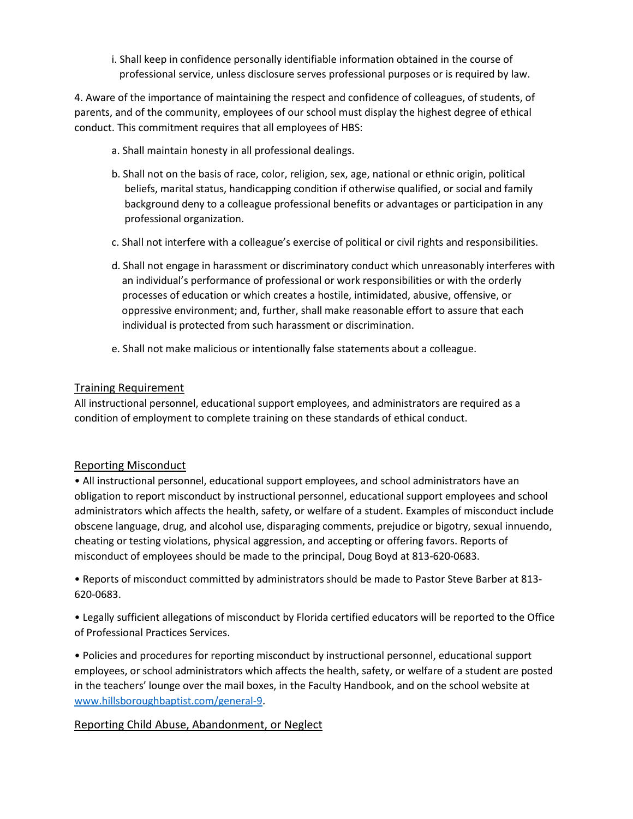i. Shall keep in confidence personally identifiable information obtained in the course of professional service, unless disclosure serves professional purposes or is required by law.

4. Aware of the importance of maintaining the respect and confidence of colleagues, of students, of parents, and of the community, employees of our school must display the highest degree of ethical conduct. This commitment requires that all employees of HBS:

- a. Shall maintain honesty in all professional dealings.
- b. Shall not on the basis of race, color, religion, sex, age, national or ethnic origin, political beliefs, marital status, handicapping condition if otherwise qualified, or social and family background deny to a colleague professional benefits or advantages or participation in any professional organization.
- c. Shall not interfere with a colleague's exercise of political or civil rights and responsibilities.
- d. Shall not engage in harassment or discriminatory conduct which unreasonably interferes with an individual's performance of professional or work responsibilities or with the orderly processes of education or which creates a hostile, intimidated, abusive, offensive, or oppressive environment; and, further, shall make reasonable effort to assure that each individual is protected from such harassment or discrimination.
- e. Shall not make malicious or intentionally false statements about a colleague.

#### Training Requirement

All instructional personnel, educational support employees, and administrators are required as a condition of employment to complete training on these standards of ethical conduct.

#### Reporting Misconduct

• All instructional personnel, educational support employees, and school administrators have an obligation to report misconduct by instructional personnel, educational support employees and school administrators which affects the health, safety, or welfare of a student. Examples of misconduct include obscene language, drug, and alcohol use, disparaging comments, prejudice or bigotry, sexual innuendo, cheating or testing violations, physical aggression, and accepting or offering favors. Reports of misconduct of employees should be made to the principal, Doug Boyd at 813-620-0683.

• Reports of misconduct committed by administrators should be made to Pastor Steve Barber at 813- 620-0683.

• Legally sufficient allegations of misconduct by Florida certified educators will be reported to the Office of Professional Practices Services.

• Policies and procedures for reporting misconduct by instructional personnel, educational support employees, or school administrators which affects the health, safety, or welfare of a student are posted in the teachers' lounge over the mail boxes, in the Faculty Handbook, and on the school website at [www.hillsboroughbaptist.com/general-9.](www.hillsboroughbaptist.com/general-9)

#### Reporting Child Abuse, Abandonment, or Neglect